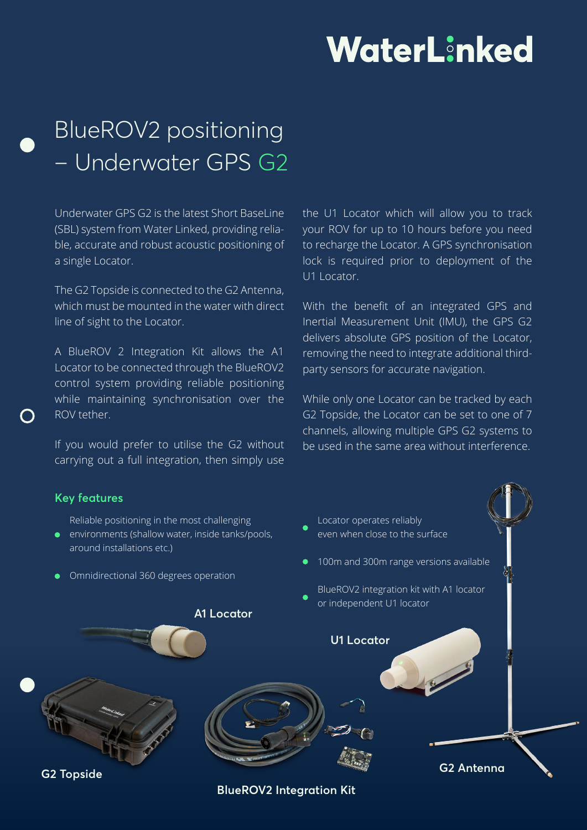# WaterLinked

# BlueROV2 positioning – Underwater GPS G2

Underwater GPS G2 is the latest Short BaseLine (SBL) system from Water Linked, providing reliable, accurate and robust acoustic positioning of a single Locator.

The G2 Topside is connected to the G2 Antenna, which must be mounted in the water with direct line of sight to the Locator.

A BlueROV 2 Integration Kit allows the A1 Locator to be connected through the BlueROV2 control system providing reliable positioning while maintaining synchronisation over the ROV tether.

If you would prefer to utilise the G2 without carrying out a full integration, then simply use

the U1 Locator which will allow you to track your ROV for up to 10 hours before you need to recharge the Locator. A GPS synchronisation lock is required prior to deployment of the U1 Locator.

With the benefit of an integrated GPS and Inertial Measurement Unit (IMU), the GPS G2 delivers absolute GPS position of the Locator, removing the need to integrate additional thirdparty sensors for accurate navigation.

While only one Locator can be tracked by each G2 Topside, the Locator can be set to one of 7 channels, allowing multiple GPS G2 systems to be used in the same area without interference.

#### **Key features**

**G2 Topside**

- Reliable positioning in the most challenging
- environments (shallow water, inside tanks/pools, around installations etc.)
- **•** Omnidirectional 360 degrees operation

**A1 Locator**



**G2 Antenna** 

**BlueROV2 Integration Kit**